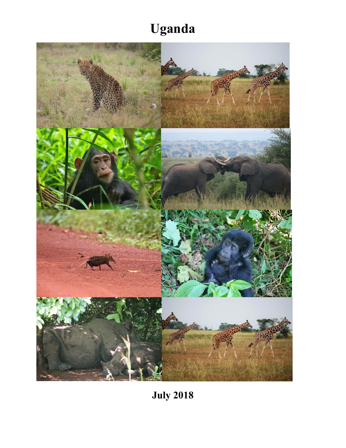## **Uganda**



**July 2018**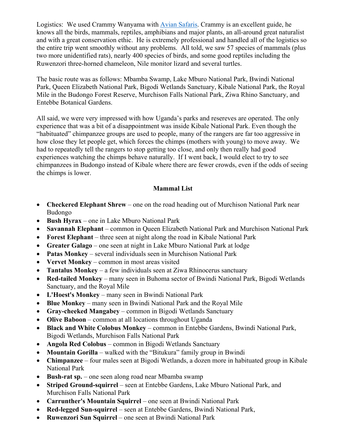Logistics: We used Crammy Wanyama with Avian Safaris. Crammy is an excellent guide, he knows all the birds, mammals, reptiles, amphibians and major plants, an all-around great naturalist and with a great conservation ethic. He is extremely professional and handled all of the logistics so the entire trip went smoothly without any problems. All told, we saw 57 species of mammals (plus two more unidentified rats), nearly 400 species of birds, and some good reptiles including the Ruwenzori three-horned chameleon, Nile monitor lizard and several turtles.

The basic route was as follows: Mbamba Swamp, Lake Mburo National Park, Bwindi National Park, Queen Elizabeth National Park, Bigodi Wetlands Sanctuary, Kibale National Park, the Royal Mile in the Budongo Forest Reserve, Murchison Falls National Park, Ziwa Rhino Sanctuary, and Entebbe Botanical Gardens.

All said, we were very impressed with how Uganda's parks and resereves are operated. The only experience that was a bit of a disappointment was inside Kibale National Park. Even though the "habituated" chimpanzee groups are used to people, many of the rangers are far too aggressive in how close they let people get, which forces the chimps (mothers with young) to move away. We had to repeatedly tell the rangers to stop getting too close, and only then really had good experiences watching the chimps behave naturally. If I went back, I would elect to try to see chimpanzees in Budongo instead of Kibale where there are fewer crowds, even if the odds of seeing the chimps is lower.

## **Mammal List**

- **Checkered Elephant Shrew** one on the road heading out of Murchison National Park near Budongo
- **Bush Hyrax** one in Lake Mburo National Park
- **Savannah Elephant** common in Queen Elizabeth National Park and Murchison National Park
- **Forest Elephant** three seen at night along the road in Kibale National Park
- **Greater Galago** one seen at night in Lake Mburo National Park at lodge
- **Patas Monkey** several individuals seen in Murchison National Park
- **Vervet Monkey** common in most areas visited
- **Tantalus Monkey** a few individuals seen at Ziwa Rhinocerus sanctuary
- **Red-tailed Monkey** many seen in Buhoma sector of Bwindi National Park, Bigodi Wetlands Sanctuary, and the Royal Mile
- **L'Hoest's Monkey** many seen in Bwindi National Park
- **Blue Monkey** many seen in Bwindi National Park and the Royal Mile
- **Gray-cheeked Mangabey** common in Bigodi Wetlands Sanctuary
- **Olive Baboon** common at all locations throughout Uganda
- **Black and White Colobus Monkey** common in Entebbe Gardens, Bwindi National Park, Bigodi Wetlands, Murchison Falls National Park
- **Angola Red Colobus** common in Bigodi Wetlands Sanctuary
- **Mountain Gorilla** walked with the "Bitukura" family group in Bwindi
- **Chimpanzee** four males seen at Bigodi Wetlands, a dozen more in habituated group in Kibale National Park
- **Bush-rat sp.** one seen along road near Mbamba swamp
- **Striped Ground-squirrel** seen at Entebbe Gardens, Lake Mburo National Park, and Murchison Falls National Park
- **Carrunther's Mountain Squirrel** one seen at Bwindi National Park
- **Red-legged Sun-squirrel** seen at Entebbe Gardens, Bwindi National Park,
- **Ruwenzori Sun Squirrel** one seen at Bwindi National Park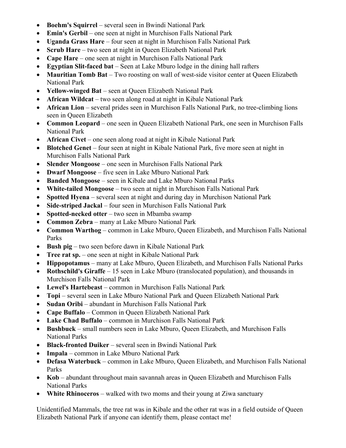- **Boehm's Squirrel** several seen in Bwindi National Park
- **Emin's Gerbil** one seen at night in Murchison Falls National Park
- **Uganda Grass Hare** four seen at night in Murchison Falls National Park
- **Scrub Hare** two seen at night in Queen Elizabeth National Park
- **Cape Hare** one seen at night in Murchison Falls National Park
- **Egyptian Slit-faced bat** Seen at Lake Mburo lodge in the dining hall rafters
- **Mauritian Tomb Bat** Two roosting on wall of west-side visitor center at Queen Elizabeth National Park
- **Yellow-winged Bat** seen at Queen Elizabeth National Park
- **African Wildcat** two seen along road at night in Kibale National Park
- **African Lion** several prides seen in Murchison Falls National Park, no tree-climbing lions seen in Queen Elizabeth
- **Common Leopard** one seen in Queen Elizabeth National Park, one seen in Murchison Falls National Park
- **African Civet** one seen along road at night in Kibale National Park
- **Blotched Genet** four seen at night in Kibale National Park, five more seen at night in Murchison Falls National Park
- **Slender Mongoose** one seen in Murchison Falls National Park
- **Dwarf Mongoose** five seen in Lake Mburo National Park
- **Banded Mongoose** seen in Kibale and Lake Mburo National Parks
- **White-tailed Mongoose** two seen at night in Murchison Falls National Park
- **Spotted Hyena** several seen at night and during day in Murchison National Park
- **Side-striped Jackal** four seen in Murchison Falls National Park
- **Spotted-necked otter** two seen in Mbamba swamp
- **Common Zebra** many at Lake Mburo National Park
- **Common Warthog** common in Lake Mburo, Queen Elizabeth, and Murchison Falls National Parks
- **Bush pig** two seen before dawn in Kibale National Park
- **Tree rat sp.** one seen at night in Kibale National Park
- **Hippopotamus** many at Lake Mburo, Queen Elizabeth, and Murchison Falls National Parks
- **Rothschild's Giraffe** 15 seen in Lake Mburo (translocated population), and thousands in Murchison Falls National Park
- **Lewel's Hartebeast** common in Murchison Falls National Park
- **Topi** several seen in Lake Mburo National Park and Queen Elizabeth National Park
- **Sudan Oribi** abundant in Murchison Falls National Park
- **Cape Buffalo** Common in Queen Elizabeth National Park
- **Lake Chad Buffalo** common in Murchison Falls National Park
- **Bushbuck** small numbers seen in Lake Mburo, Queen Elizabeth, and Murchison Falls National Parks
- **Black-fronted Duiker** several seen in Bwindi National Park
- **Impala** common in Lake Mburo National Park
- **Defasa Waterbuck** common in Lake Mburo, Queen Elizabeth, and Murchison Falls National Parks
- **Kob** abundant throughout main savannah areas in Queen Elizabeth and Murchison Falls National Parks
- **White Rhinoceros** walked with two moms and their young at Ziwa sanctuary

Unidentified Mammals, the tree rat was in Kibale and the other rat was in a field outside of Queen Elizabeth National Park if anyone can identify them, please contact me!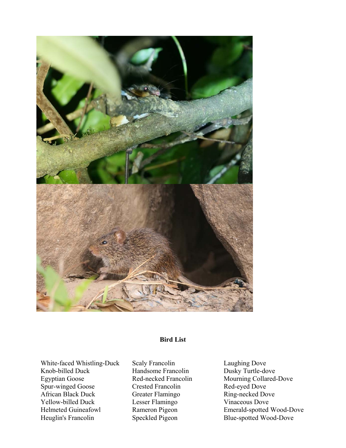

## **Bird List**

White-faced Whistling-Duck Knob-billed Duck Egyptian Goose Spur-winged Goose African Black Duck Yellow-billed Duck Helmeted Guineafowl Heuglin's Francolin

Scaly Francolin Handsome Francolin Red-necked Francolin Crested Francolin Greater Flamingo Lesser Flamingo Rameron Pigeon Speckled Pigeon

Laughing Dove Dusky Turtle-dove Mourning Collared-Dove Red-eyed Dove Ring-necked Dove Vinaceous Dove Emerald-spotted Wood-Dove Blue-spotted Wood-Dove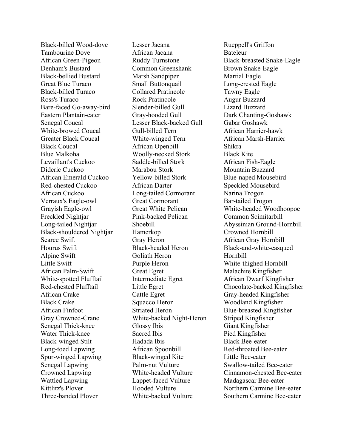Black-billed Wood-dove Tambourine Dove African Green-Pigeon Denham's Bustard Black-bellied Bustard Great Blue Turaco Black-billed Turaco Ross's Turaco Bare-faced Go-away-bird Eastern Plantain-eater Senegal Coucal White-browed Coucal Greater Black Coucal Black Coucal Blue Malkoha Levaillant's Cuckoo Dideric Cuckoo African Emerald Cuckoo Red-chested Cuckoo African Cuckoo Verraux's Eagle-owl Grayish Eagle-owl Freckled Nightjar Long-tailed Nightjar Black-shouldered Nightjar Scarce Swift Hourus Swift Alpine Swift Little Swift African Palm-Swift White-spotted Flufftail Red-chested Flufftail African Crake Black Crake African Finfoot Gray Crowned-Crane Senegal Thick-knee Water Thick-knee Black-winged Stilt Long-toed Lapwing Spur-winged Lapwing Senegal Lapwing Crowned Lapwing Wattled Lapwing Kittlitz's Plover Three-banded Plover

Lesser Jacana African Jacana Ruddy Turnstone Common Greenshank Marsh Sandpiper Small Buttonquail Collared Pratincole Rock Pratincole Slender-billed Gull Gray-hooded Gull Lesser Black-backed Gull Gull-billed Tern White-winged Tern African Openbill Woolly-necked Stork Saddle-billed Stork Marabou Stork Yellow-billed Stork African Darter Long-tailed Cormorant Great Cormorant Great White Pelican Pink-backed Pelican Shoebill Hamerkop Gray Heron Black-headed Heron Goliath Heron Purple Heron Great Egret Intermediate Egret Little Egret Cattle Egret Squacco Heron Striated Heron White-backed Night-Heron Glossy Ibis Sacred Ibis Hadada Ibis African Spoonbill Black-winged Kite Palm-nut Vulture White-headed Vulture Lappet-faced Vulture Hooded Vulture White-backed Vulture

Rueppell's Griffon Bateleur Black-breasted Snake-Eagle Brown Snake-Eagle Martial Eagle Long-crested Eagle Tawny Eagle Augur Buzzard Lizard Buzzard Dark Chanting-Goshawk Gabar Goshawk African Harrier-hawk African Marsh-Harrier Shikra Black Kite African Fish-Eagle Mountain Buzzard Blue-naped Mousebird Speckled Mousebird Narina Trogon Bar-tailed Trogon White-headed Woodhoopoe Common Scimitarbill Abyssinian Ground-Hornbill Crowned Hornbill African Gray Hornbill Black-and-white-casqued Hornbill White-thighed Hornbill Malachite Kingfisher African Dwarf Kingfisher Chocolate-backed Kingfisher Gray-headed Kingfisher Woodland Kingfisher Blue-breasted Kingfisher Striped Kingfisher Giant Kingfisher Pied Kingfisher Black Bee-eater Red-throated Bee-eater Little Bee-eater Swallow-tailed Bee-eater Cinnamon-chested Bee-eater Madagascar Bee-eater Northern Carmine Bee-eater Southern Carmine Bee-eater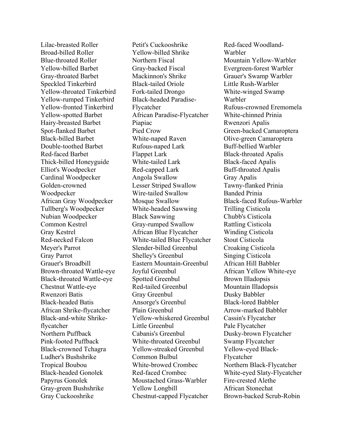Lilac-breasted Roller Broad-billed Roller Blue-throated Roller Yellow-billed Barbet Gray-throated Barbet Speckled Tinkerbird Yellow-throated Tinkerbird Yellow-rumped Tinkerbird Yellow-fronted Tinkerbird Yellow-spotted Barbet Hairy-breasted Barbet Spot-flanked Barbet Black-billed Barbet Double-toothed Barbet Red-faced Barbet Thick-billed Honeyguide Elliot's Woodpecker Cardinal Woodpecker Golden-crowned Woodpecker African Gray Woodpecker Tullberg's Woodpecker Nubian Woodpecker Common Kestrel Gray Kestrel Red-necked Falcon Meyer's Parrot Gray Parrot Grauer's Broadbill Brown-throated Wattle-eye Black-throated Wattle-eye Chestnut Wattle-eye Rwenzori Batis Black-headed Batis African Shrike-flycatcher Black-and-white Shrikeflycatcher Northern Puffback Pink-footed Puffback Black-crowned Tchagra Ludher's Bushshrike Tropical Boubou Black-headed Gonolek Papyrus Gonolek Gray-green Bushshrike Gray Cuckooshrike

Petit's Cuckooshrike Yellow-billed Shrike Northern Fiscal Gray-backed Fiscal Mackinnon's Shrike Black-tailed Oriole Fork-tailed Drongo Black-headed Paradise-Flycatcher African Paradise-Flycatcher Piapiac Pied Crow White-naped Raven Rufous-naped Lark Flappet Lark White-tailed Lark Red-capped Lark Angola Swallow Lesser Striped Swallow Wire-tailed Swallow Mosque Swallow White-headed Sawwing Black Sawwing Gray-rumped Swallow African Blue Flycatcher White-tailed Blue Flycatcher Slender-billed Greenbul Shelley's Greenbul Eastern Mountain-Greenbul Joyful Greenbul Spotted Greenbul Red-tailed Greenbul Gray Greenbul Ansorge's Greenbul Plain Greenbul Yellow-whiskered Greenbul Little Greenbul Cabanis's Greenbul White-throated Greenbul Yellow-streaked Greenbul Common Bulbul White-browed Crombec Red-faced Crombec Moustached Grass-Warbler Yellow Longbill Chestnut-capped Flycatcher

Red-faced Woodland-Warbler Mountain Yellow-Warbler Evergreen-forest Warbler Grauer's Swamp Warbler Little Rush-Warbler White-winged Swamp Warbler Rufous-crowned Eremomela White-chinned Prinia Rwenzori Apalis Green-backed Camaroptera Olive-green Camaroptera Buff-bellied Warbler Black-throated Apalis Black-faced Apalis Buff-throated Apalis Gray Apalis Tawny-flanked Prinia Banded Prinia Black-faced Rufous-Warbler Trilling Cisticola Chubb's Cisticola Rattling Cisticola Winding Cisticola Stout Cisticola Croaking Cisticola Singing Cisticola African Hill Babbler African Yellow White-eye Brown Illadopsis Mountain Illadopsis Dusky Babbler Black-lored Babbler Arrow-marked Babbler Cassin's Flycatcher Pale Flycatcher Dusky-brown Flycatcher Swamp Flycatcher Yellow-eyed Black-Flycatcher Northern Black-Flycatcher White-eyed Slaty-Flycatcher Fire-crested Alethe African Stonechat Brown-backed Scrub-Robin